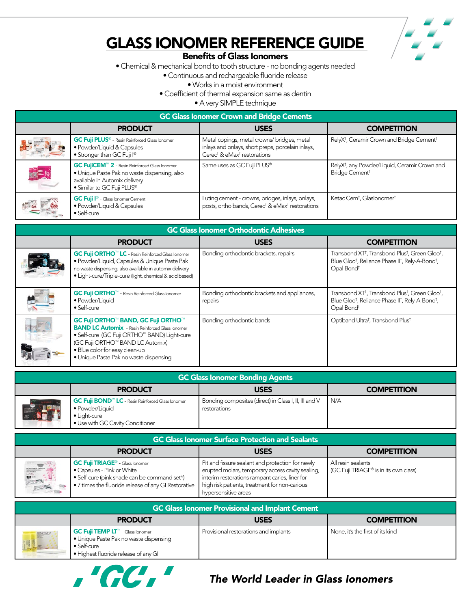

## Glass Ionomer Reference Guide

## Benefits of Glass Ionomers

• Chemical & mechanical bond to tooth structure - no bonding agents needed

• Continuous and rechargeable fluoride release

• Works in a moist environment

• Coefficient of thermal expansion same as dentin

• A very SIMPLE technique

| <b>GC Glass Ionomer Crown and Bridge Cements</b> |                                                                                                                                                                           |                                                                                                                                                        |                                                                                         |
|--------------------------------------------------|---------------------------------------------------------------------------------------------------------------------------------------------------------------------------|--------------------------------------------------------------------------------------------------------------------------------------------------------|-----------------------------------------------------------------------------------------|
|                                                  | <b>PRODUCT</b>                                                                                                                                                            | <b>USES</b>                                                                                                                                            | <b>COMPETITION</b>                                                                      |
|                                                  | <b>GC Fuji PLUS<sup>®</sup></b> - Resin Reinforced Glass Ionomer<br>· Powder/Liquid & Capsules<br>• Stronger than GC Fuji I®                                              | Metal copings, metal crowns/bridges, metal<br>inlays and onlays, short preps, porcelain inlays,<br>Cerec <sup>†</sup> & eMax <sup>†</sup> restorations | RelyX <sup>t</sup> , Ceramir Crown and Bridge Cement <sup>†</sup>                       |
| 配                                                | GC FujiCEM <sup>™</sup> 2 - Resin Reinforced Glass lonomer<br>· Unique Paste Pak no waste dispensing, also<br>available in Automix delivery<br>• Similar to GC Fuji PLUS® | Same uses as GC Fuji PLUS®                                                                                                                             | RelyX <sup>t</sup> , any Powder/Liquid, Ceramir Crown and<br>Bridge Cement <sup>+</sup> |
| $=$ $\frac{40}{10}$                              | <b>GC Fuji I<sup>®</sup></b> - Glass Ionomer Cement<br>· Powder/Liquid & Capsules<br>• Self-cure                                                                          | Luting cement - crowns, bridges, inlays, onlays,<br>posts, ortho bands, Cerec <sup>+</sup> & eMax <sup>+</sup> restorations                            | Ketac Cem <sup>t</sup> , Glaslonomer <sup>t</sup>                                       |

| <b>GC Glass Ionomer Orthodontic Adhesives</b> |                                                                                                                                                                                                                                                                |                                                         |                                                                                                                                                                                                       |
|-----------------------------------------------|----------------------------------------------------------------------------------------------------------------------------------------------------------------------------------------------------------------------------------------------------------------|---------------------------------------------------------|-------------------------------------------------------------------------------------------------------------------------------------------------------------------------------------------------------|
|                                               | <b>PRODUCT</b>                                                                                                                                                                                                                                                 | <b>USES</b>                                             | <b>COMPETITION</b>                                                                                                                                                                                    |
|                                               | <b>GC Fuji ORTHO™ LC</b> - Resin Reinforced Glass lonomer<br>· Powder/Liquid, Capsules & Unique Paste Pak<br>no waste dispensing, also available in automix delivery<br>• Light-cure/Triple-cure (light, chemical & acid based)                                | Bonding orthodontic brackets, repairs                   | Transbond XT <sup>+</sup> , Transbond Plus <sup>†</sup> , Green Gloo <sup>†</sup> ,<br>Blue Gloot, Reliance Phase IIt, Rely-A-Bondt,<br>Opal Bond <sup>t</sup>                                        |
|                                               | <b>GC Fuji ORTHO™</b> - Resin Reinforced Glass lonomer<br>· Powder/Liquid<br>• Self-cure                                                                                                                                                                       | Bonding orthodontic brackets and appliances,<br>repairs | Transbond XT <sup>+</sup> , Transbond Plus <sup>†</sup> , Green Gloo <sup>†</sup> ,<br>Blue Gloo <sup>†</sup> , Reliance Phase II <sup>†</sup> , Rely-A-Bond <sup>†</sup> ,<br>Opal Bond <sup>t</sup> |
|                                               | GC Fuji ORTHO™ BAND, GC Fuji ORTHO™<br><b>BAND LC Automix</b> - Resin Reinforced Glass lonomer<br>• Self-cure (GC Fuji ORTHO™ BAND) Light-cure<br>(GC Fuji ORTHO™ BAND LC Automix)<br>· Blue color for easy clean-up<br>· Unique Paste Pak no waste dispensing | Bonding orthodontic bands                               | Optiband Ultra <sup>t</sup> , Transbond Plus <sup>t</sup>                                                                                                                                             |

| <b>GC Glass Ionomer Bonding Agents</b> |                                                                                                                                              |                                                                       |                    |
|----------------------------------------|----------------------------------------------------------------------------------------------------------------------------------------------|-----------------------------------------------------------------------|--------------------|
|                                        | <b>PRODUCT</b>                                                                                                                               | <b>USES</b>                                                           | <b>COMPETITION</b> |
| <b>ALL AND</b>                         | GC Fuji BOND <sup>™</sup> LC - Resin Reinforced Glass lonomer<br>• Powder/Liquid<br>$\bullet$ Light-cure<br>· Use with GC Cavity Conditioner | Bonding composites (direct) in Class I, II, III and V<br>restorations | I N/A              |

| <b>GC Glass Ionomer Surface Protection and Sealants</b> |                                                                                                                                                                                         |                                                                                                                                                                                                                                 |                                                             |
|---------------------------------------------------------|-----------------------------------------------------------------------------------------------------------------------------------------------------------------------------------------|---------------------------------------------------------------------------------------------------------------------------------------------------------------------------------------------------------------------------------|-------------------------------------------------------------|
|                                                         | <b>PRODUCT</b>                                                                                                                                                                          | <b>USES</b>                                                                                                                                                                                                                     | <b>COMPETITION</b>                                          |
| $\mathbf{z}$                                            | <b>GC Fuji TRIAGE<sup>®</sup></b> - Glass lonomer<br>• Capsules - Pink or White<br>• Self-cure (pink shade can be command set*)<br>• 7 times the fluoride release of any GI Restorative | Pit and fissure sealant and protection for newly<br>erupted molars, temporary access cavity sealing,<br>interim restorations rampant caries, liner for<br>high risk patients, treatment for non-carious<br>hypersensitive areas | All resin sealants<br>(GC Fuji TRIAGE® is in its own class) |

| <b>GC Glass Ionomer Provisional and Implant Cement</b> |                                                                                                                                           |                                       |                                  |
|--------------------------------------------------------|-------------------------------------------------------------------------------------------------------------------------------------------|---------------------------------------|----------------------------------|
|                                                        | <b>PRODUCT</b>                                                                                                                            | <b>USES</b>                           | <b>COMPETITION</b>               |
| OC Full TEMPL                                          | GC Fuji TEMP LT™ - Glass lonomer<br>• Unique Paste Pak no waste dispensing<br>$\bullet$ Self-cure<br>• Highest fluoride release of any GI | Provisional restorations and implants | None, it's the first of its kind |



## *The World Leader in Glass Ionomers*